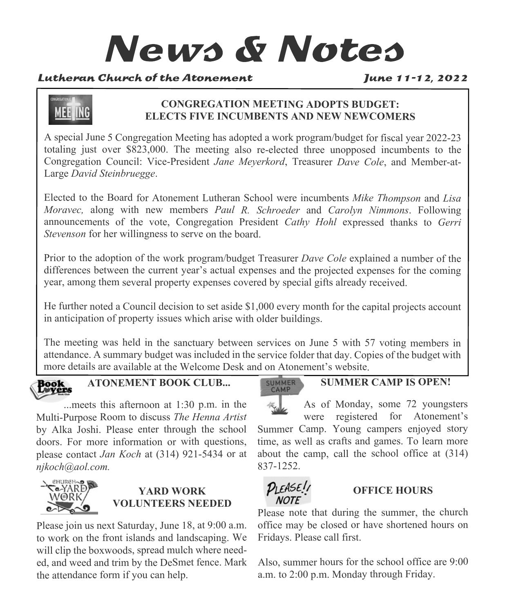# **News & Notes**

#### Lutheran Church of the Atonement

June 11-12, 2022



#### **CONGREGATION MEETING ADOPTS BUDGET: ELECTS FIVE INCUMBENTS AND NEW NEWCOMERS**

A special June 5 Congregation Meeting has adopted a work program/budget for fiscal year 2022-23 totaling just over \$823,000. The meeting also re-elected three unopposed incumbents to the Congregation Council: Vice-President *Jane Meyerkord*, Treasurer *Dave Cole*, and Member-at-Large *David Steinbruegge*.

Elected to the Board for Atonement Lutheran School were incumbents *Mike Thompson* and *Lisa Moravec,* along with new members *Paul R. Schroeder* and *Carolyn Nimmons*. Following announcements of the vote, Congregation President *Cathy Hohl* expressed thanks to *Gerri Stevenson* for her willingness to serve on the board.

Prior to the adoption of the work program/budget Treasurer *Dave Cole* explained a number of the differences between the current year's actual expenses and the projected expenses for the coming year, among them several property expenses covered by special gifts already received.

He further noted a Council decision to set aside \$1,000 every month for the capital projects account in anticipation of property issues which arise with older buildings.

The meeting was held in the sanctuary between services on June 5 with 57 voting members in attendance. A summary budget was included in the service folder that day. Copies of the budget with more details are available at the Welcome Desk and on Atonement's website.



**ATONEMENT BOOK CLUB...**

...meets this afternoon at 1:30 p.m. in the Multi-Purpose Room to discuss *The Henna Artist* by Alka Joshi. Please enter through the school doors. For more information or with questions, please contact *Jan Koch* at (314) 921-5434 or at *njkoch@aol.com.*



# **YARD WORK VOLUNTEERS NEEDED**

Please join us next Saturday, June 18, at 9:00 a.m. to work on the front islands and landscaping. We will clip the boxwoods, spread mulch where needed, and weed and trim by the DeSmet fence. Mark the attendance form if you can help.

#### SUMMER CAMP

**SUMMER CAMP IS OPEN!**

As of Monday, some 72 youngsters were registered for Atonement's Summer Camp. Young campers enjoyed story time, as well as crafts and games. To learn more about the camp, call the school office at (314) 837-1252.



# **OFFICE HOURS**

Please note that during the summer, the church office may be closed or have shortened hours on Fridays. Please call first.

Also, summer hours for the school office are 9:00 a.m. to 2:00 p.m. Monday through Friday.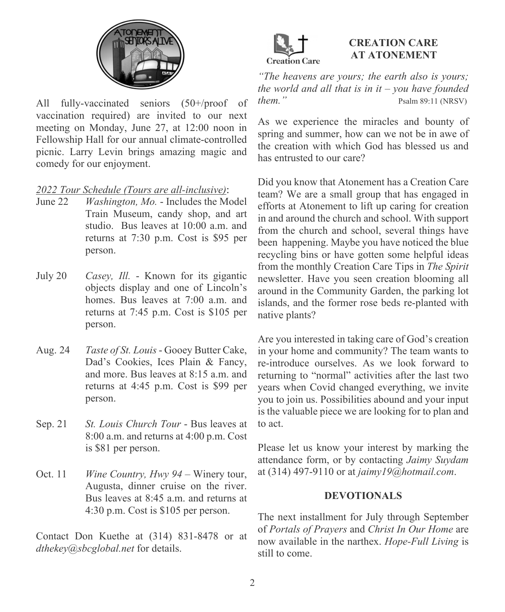

All fully-vaccinated seniors (50+/proof of vaccination required) are invited to our next meeting on Monday, June 27, at 12:00 noon in Fellowship Hall for our annual climate-controlled picnic. Larry Levin brings amazing magic and comedy for our enjoyment.

#### *2022 Tour Schedule (Tours are all-inclusive)*:

- June 22 *Washington, Mo.* Includes the Model Train Museum, candy shop, and art studio. Bus leaves at 10:00 a.m. and returns at 7:30 p.m. Cost is \$95 per person.
- July 20 *Casey, Ill.* Known for its gigantic objects display and one of Lincoln's homes. Bus leaves at 7:00 a.m. and returns at 7:45 p.m. Cost is \$105 per person.
- Aug. 24 *Taste of St. Louis* Gooey Butter Cake, Dad's Cookies, Ices Plain & Fancy, and more. Bus leaves at  $8.15$  a.m. and returns at 4:45 p.m. Cost is \$99 per person.
- Sep. 21 *St. Louis Church Tour* Bus leaves at 8:00 a.m. and returns at 4:00 p.m. Cost is \$81 per person.
- Oct. 11 *Wine Country, Hwy 94* Winery tour, Augusta, dinner cruise on the river. Bus leaves at 8:45 a.m. and returns at 4:30 p.m. Cost is \$105 per person.

Contact Don Kuethe at (314) 831-8478 or at *dthekey@sbcglobal.net* for details.



#### **CREATION CARE AT ATONEMENT**

*"The heavens are yours; the earth also is yours; the world and all that is in it – you have founded them.*" Psalm 89:11 (NRSV)

As we experience the miracles and bounty of spring and summer, how can we not be in awe of the creation with which God has blessed us and has entrusted to our care?

Did you know that Atonement has a Creation Care team? We are a small group that has engaged in efforts at Atonement to lift up caring for creation in and around the church and school. With support from the church and school, several things have been happening. Maybe you have noticed the blue recycling bins or have gotten some helpful ideas from the monthly Creation Care Tips in *The Spirit* newsletter. Have you seen creation blooming all around in the Community Garden, the parking lot islands, and the former rose beds re-planted with native plants?

Are you interested in taking care of God's creation in your home and community? The team wants to re-introduce ourselves. As we look forward to returning to "normal" activities after the last two years when Covid changed everything, we invite you to join us. Possibilities abound and your input is the valuable piece we are looking for to plan and to act.

Please let us know your interest by marking the attendance form, or by contacting *Jaimy Suydam* at (314) 497-9110 or at *jaimy19@hotmail.com*.

#### **DEVOTIONALS**

The next installment for July through September of *Portals of Prayers* and *Christ In Our Home* are now available in the narthex. *Hope-Full Living* is still to come.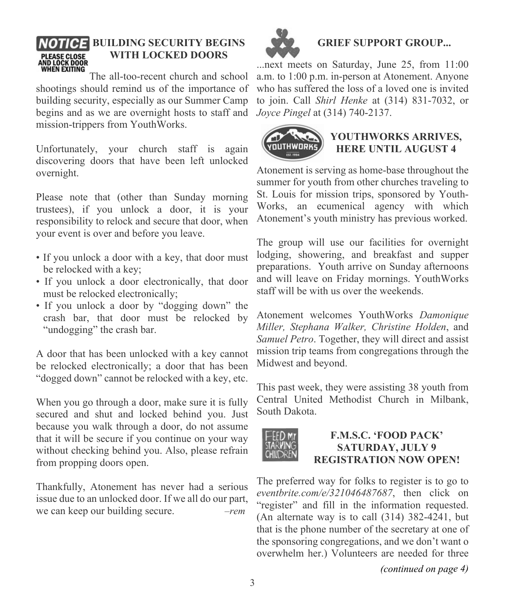# **NOTICE BUILDING SECURITY BEGINS WITH LOCKED DOORS** PLEASE CLOSE<br>AND LOCK DOOR<br>WHEN EXITING

The all-too-recent church and school shootings should remind us of the importance of building security, especially as our Summer Camp begins and as we are overnight hosts to staff and mission-trippers from YouthWorks.

Unfortunately, your church staff is again discovering doors that have been left unlocked overnight.

Please note that (other than Sunday morning trustees), if you unlock a door, it is your responsibility to relock and secure that door, when your event is over and before you leave.

- If you unlock a door with a key, that door must be relocked with a key;
- If you unlock a door electronically, that door must be relocked electronically;
- If you unlock a door by "dogging down" the crash bar, that door must be relocked by "undogging" the crash bar.

A door that has been unlocked with a key cannot be relocked electronically; a door that has been "dogged down" cannot be relocked with a key, etc.

When you go through a door, make sure it is fully secured and shut and locked behind you. Just because you walk through a door, do not assume that it will be secure if you continue on your way without checking behind you. Also, please refrain from propping doors open.

Thankfully, Atonement has never had a serious issue due to an unlocked door. If we all do our part, we can keep our building secure. *–rem*



# **GRIEF SUPPORT GROUP...**

...next meets on Saturday, June 25, from 11:00 a.m. to 1:00 p.m. in-person at Atonement. Anyone who has suffered the loss of a loved one is invited to join. Call *Shirl Henke* at (314) 831-7032, or *Joyce Pingel* at (314) 740-2137.



#### **YOUTHWORKS ARRIVES, HERE UNTIL AUGUST 4**

Atonement is serving as home-base throughout the summer for youth from other churches traveling to St. Louis for mission trips, sponsored by Youth-Works, an ecumenical agency with which Atonement's youth ministry has previous worked.

The group will use our facilities for overnight lodging, showering, and breakfast and supper preparations. Youth arrive on Sunday afternoons and will leave on Friday mornings. YouthWorks staff will be with us over the weekends.

Atonement welcomes YouthWorks *Damonique Miller, Stephana Walker, Christine Holden*, and *Samuel Petro*. Together, they will direct and assist mission trip teams from congregations through the Midwest and beyond.

This past week, they were assisting 38 youth from Central United Methodist Church in Milbank, South Dakota.



#### **F.M.S.C. 'FOOD PACK' SATURDAY, JULY 9 REGISTRATION NOW OPEN!**

The preferred way for folks to register is to go to *eventbrite.com/e/321046487687*, then click on "register" and fill in the information requested. (An alternate way is to call (314) 382-4241, but that is the phone number of the secretary at one of the sponsoring congregations, and we don't want o overwhelm her.) Volunteers are needed for three

*(continued on page 4)*